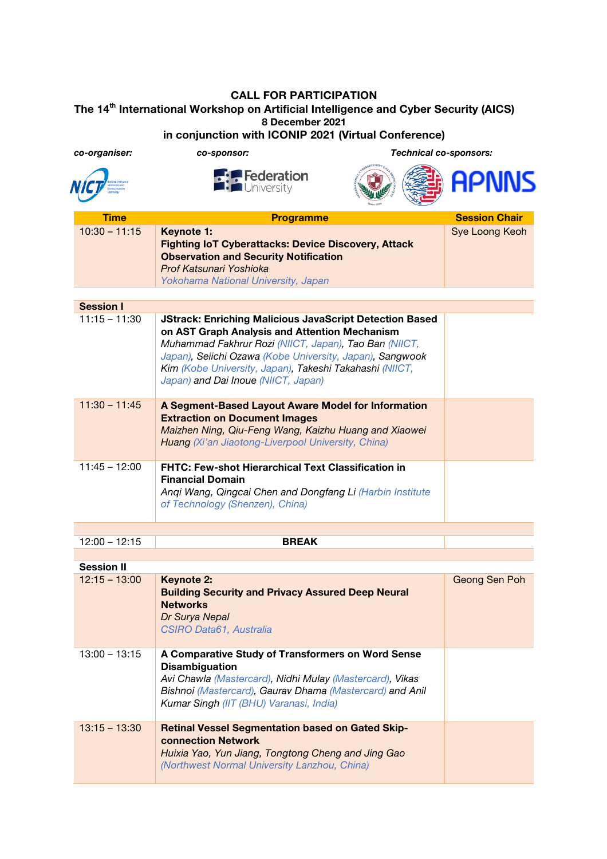## **CALL FOR PARTICIPATION The 14th International Workshop on Artificial Intelligence and Cyber Security (AICS) 8 December 2021 in conjunction with ICONIP 2021 (Virtual Conference)**

| co-organiser:     | co-sponsor:                                                                                                                                                                                                                                                                                                                            | <b>Technical co-sponsors:</b> |                      |
|-------------------|----------------------------------------------------------------------------------------------------------------------------------------------------------------------------------------------------------------------------------------------------------------------------------------------------------------------------------------|-------------------------------|----------------------|
|                   | <b>Federation</b><br><b>Fulle</b> University                                                                                                                                                                                                                                                                                           |                               | <b>APNNS</b>         |
| <b>Time</b>       | <b>Programme</b>                                                                                                                                                                                                                                                                                                                       |                               | <b>Session Chair</b> |
| $10:30 - 11:15$   | Keynote 1:<br><b>Fighting IoT Cyberattacks: Device Discovery, Attack</b><br><b>Observation and Security Notification</b><br>Prof Katsunari Yoshioka<br>Yokohama National University, Japan                                                                                                                                             |                               | Sye Loong Keoh       |
| <b>Session I</b>  |                                                                                                                                                                                                                                                                                                                                        |                               |                      |
| $11:15 - 11:30$   | <b>JStrack: Enriching Malicious JavaScript Detection Based</b><br>on AST Graph Analysis and Attention Mechanism<br>Muhammad Fakhrur Rozi (NIICT, Japan), Tao Ban (NIICT,<br>Japan), Seiichi Ozawa (Kobe University, Japan), Sangwook<br>Kim (Kobe University, Japan), Takeshi Takahashi (NIICT,<br>Japan) and Dai Inoue (NIICT, Japan) |                               |                      |
| $11:30 - 11:45$   | A Segment-Based Layout Aware Model for Information<br><b>Extraction on Document Images</b><br>Maizhen Ning, Qiu-Feng Wang, Kaizhu Huang and Xiaowei<br>Huang (Xi'an Jiaotong-Liverpool University, China)                                                                                                                              |                               |                      |
| $11:45 - 12:00$   | <b>FHTC: Few-shot Hierarchical Text Classification in</b><br><b>Financial Domain</b><br>Angi Wang, Qingcai Chen and Dongfang Li (Harbin Institute<br>of Technology (Shenzen), China)                                                                                                                                                   |                               |                      |
|                   |                                                                                                                                                                                                                                                                                                                                        |                               |                      |
| $12:00 - 12:15$   | <b>BREAK</b>                                                                                                                                                                                                                                                                                                                           |                               |                      |
| <b>Session II</b> |                                                                                                                                                                                                                                                                                                                                        |                               |                      |
| $12:15 - 13:00$   | <b>Keynote 2:</b><br><b>Building Security and Privacy Assured Deep Neural</b><br><b>Networks</b><br>Dr Surya Nepal<br>CSIRO Data61, Australia                                                                                                                                                                                          |                               | Geong Sen Poh        |
| $13:00 - 13:15$   | A Comparative Study of Transformers on Word Sense<br><b>Disambiguation</b><br>Avi Chawla (Mastercard), Nidhi Mulay (Mastercard), Vikas<br>Bishnoi (Mastercard), Gaurav Dhama (Mastercard) and Anil<br>Kumar Singh (IIT (BHU) Varanasi, India)                                                                                          |                               |                      |
| $13:15 - 13:30$   | <b>Retinal Vessel Segmentation based on Gated Skip-</b><br><b>connection Network</b><br>Huixia Yao, Yun Jiang, Tongtong Cheng and Jing Gao<br>(Northwest Normal University Lanzhou, China)                                                                                                                                             |                               |                      |